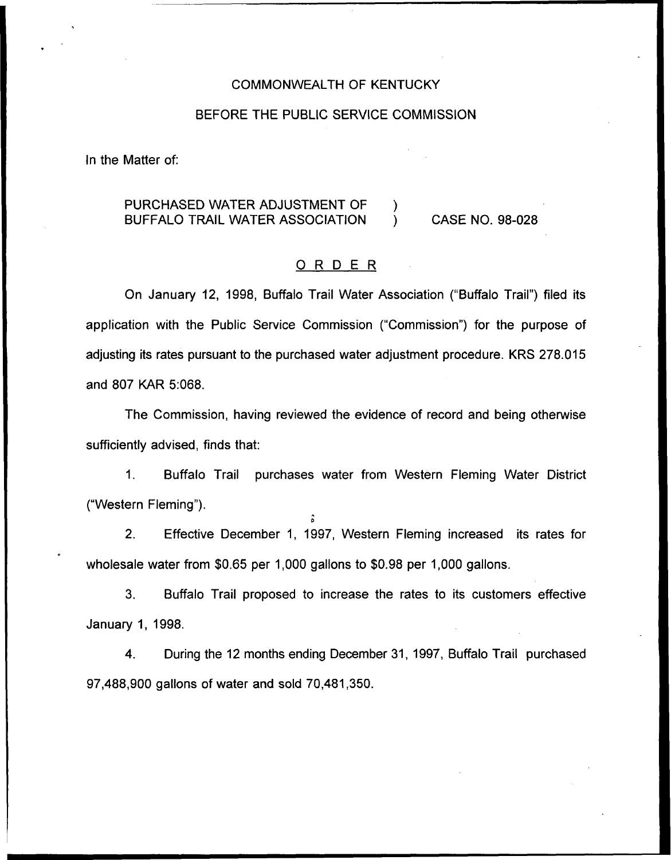## COMMONWEALTH OF KENTUCKY

#### BEFORE THE PUBLIC SERVICE COMMISSION

In the Matter of:

# PURCHASED WATER ADJUSTMENT OF  $\qquad$  )<br>BUFFALO TRAIL WATER ASSOCIATION  $\qquad$  ) BUFFALO TRAIL WATER ASSOCIATION ) CASE NO. 98-028

# ORDER

On January 12, 1998, Buffalo Trail Water Association ("Buffalo Trail") filed its application with the Public Service Commission ("Commission") for the purpose of adjusting its rates pursuant to the purchased water adjustment procedure. KRS 278.015 and 807 KAR 5:068.

The Commission, having reviewed the evidence of record and being otherwise sufficiently advised, finds that:

 $1<sub>1</sub>$ Buffalo Trail purchases water from Western Fleming Water District ("Western Fleming").

2. Effective December 1, 1997, Western Fleming increased its rates for wholesale water from \$0.65 per 1,000 gallons to \$0.98 per 1,000 gallons.

 $\circ$ 

3. Buffalo Trail proposed to increase the rates to its customers effective January 1, 1998.

4. During the 12 months ending December 31, 1997, Buffalo Trail purchased 97,488,900 gallons of water and sold 70,481,350.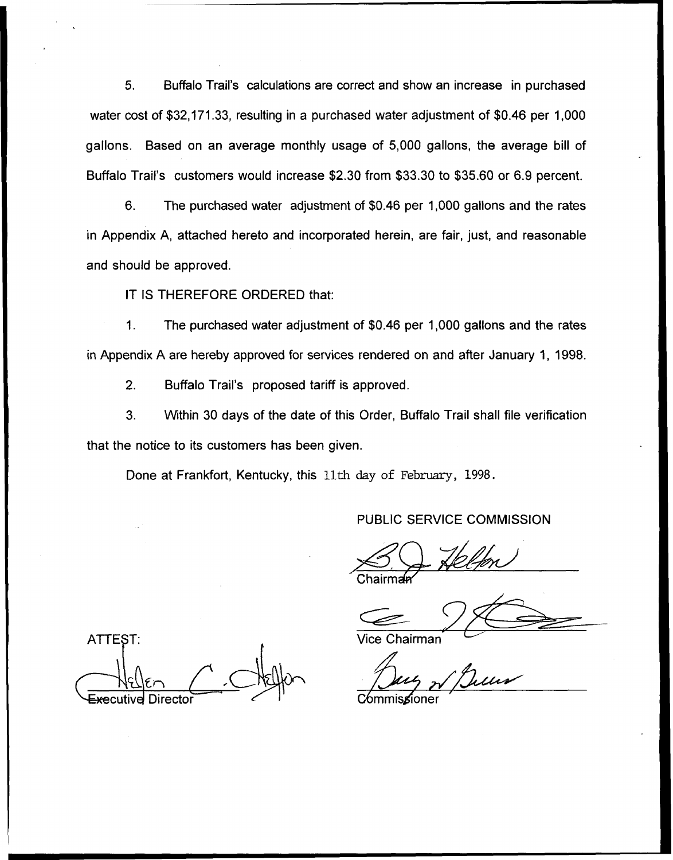5. Buffalo Trail's calculations are correct and show an increase in purchased water cost of \$32,171.33, resulting in a purchased water adjustment of \$0.46 per 1,000 gallons. Based on an average monthly usage of 5,000 gallons, the average bill of Buffalo Trail's customers would increase \$2.30 from \$33.30 to \$35.60 or 6.9 percent.

6. The purchased water adjustment of \$0.46 per 1,000 gallons and the rates in Appendix A, attached hereto and incorporated herein, are fair, just, and reasonable and should be approved.

IT IS THEREFORE ORDERED that:

 $\mathbf{1}$ . The purchased water adjustment of \$0.46 per 1,000 gallons and the rates in Appendix A are hereby approved for services rendered on and after January 1, 199S.

2. Buffalo Trail's proposed tariff is approved.

3. Within 30 days of the date of this Order, Buffalo Trail shall file verification that the notice to its customers has been given.

Done at Frankfort, Kentucky, this 11th day of February, 1998.

PUBLIC SERVICE COMMISSION

Chairman

Vice Chairman

C⁄ommis**g**ion

**ATTEST:**